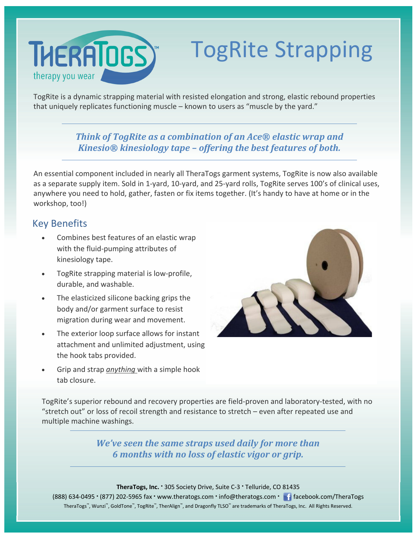# **THERATOGS** therapy you wear

# TogRite Strapping

TogRite is a dynamic strapping material with resisted elongation and strong, elastic rebound properties that uniquely replicates functioning muscle – known to users as "muscle by the yard."

#### *Think of TogRite as a combination of an Ace® elastic wrap and Kinesio® kinesiology tape – offering the best features of both.*

An essential component included in nearly all TheraTogs garment systems, TogRite is now also available as a separate supply item. Sold in 1‐yard, 10‐yard, and 25‐yard rolls, TogRite serves 100's of clinical uses, anywhere you need to hold, gather, fasten or fix items together. (It's handy to have at home or in the workshop, too!)

#### Key Benefits

- Combines best features of an elastic wrap with the fluid‐pumping attributes of kinesiology tape.
- TogRite strapping material is low-profile, durable, and washable.
- The elasticized silicone backing grips the body and/or garment surface to resist migration during wear and movement.
- The exterior loop surface allows for instant attachment and unlimited adjustment, using the hook tabs provided.
- Grip and strap *anything* with a simple hook tab closure.



TogRite's superior rebound and recovery properties are field‐proven and laboratory‐tested, with no "stretch out" or loss of recoil strength and resistance to stretch – even after repeated use and multiple machine washings.

> *We've seen the same straps used daily for more than 6 months with no loss of elastic vigor or grip.*

**TheraTogs, Inc.** • 305 Society Drive, Suite C‐3 • Telluride, CO 81435

(888) 634‐0495 • (877) 202‐5965 fax • www.theratogs.com • info@theratogs.com • facebook.com/TheraTogs TheraTogs™, Wunzi™, GoldTone™, TogRite™, TherAlign™, and Dragonfly TLSO™ are trademarks of TheraTogs, Inc. All Rights Reserved.